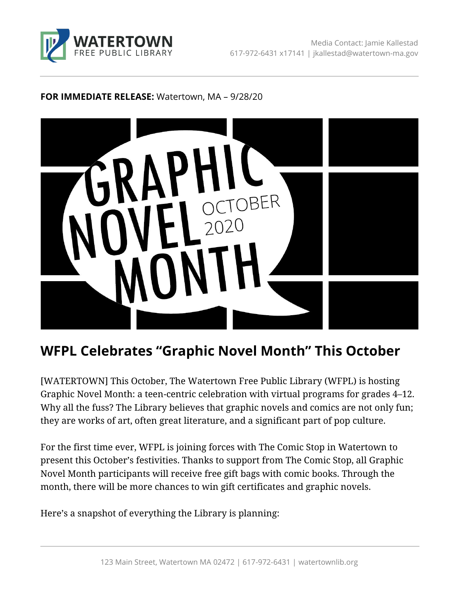

#### **FOR IMMEDIATE RELEASE:** Watertown, MA – 9/28/20



# **WFPL Celebrates "Graphic Novel Month" This October**

[WATERTOWN] This October, The Watertown Free Public Library (WFPL) is hosting Graphic Novel Month: a teen-centric celebration with virtual programs for grades 4–12. Why all the fuss? The Library believes that graphic novels and comics are not only fun; they are works of art, often great literature, and a significant part of pop culture.

For the first time ever, WFPL is joining forces with The Comic Stop in Watertown to present this October's festivities. Thanks to support from The Comic Stop, all Graphic Novel Month participants will receive free gift bags with comic books. Through the month, there will be more chances to win gift certificates and graphic novels.

Here's a snapshot of everything the Library is planning: